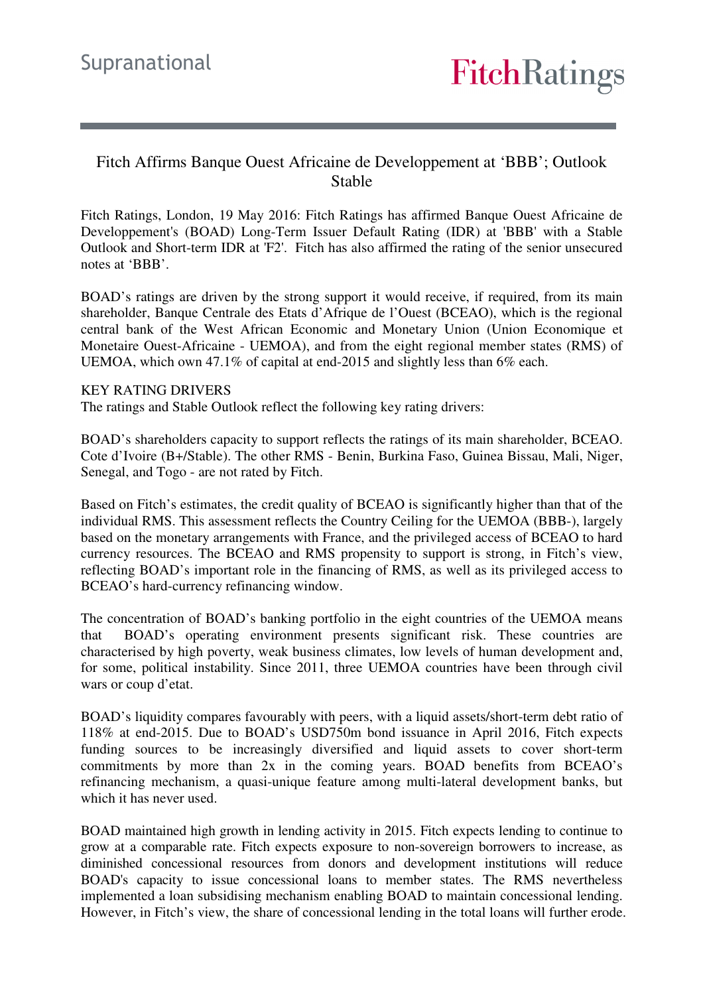### Fitch Affirms Banque Ouest Africaine de Developpement at 'BBB'; Outlook Stable

Fitch Ratings, London, 19 May 2016: Fitch Ratings has affirmed Banque Ouest Africaine de Developpement's (BOAD) Long-Term Issuer Default Rating (IDR) at 'BBB' with a Stable Outlook and Short-term IDR at 'F2'. Fitch has also affirmed the rating of the senior unsecured notes at 'BBB'.

BOAD's ratings are driven by the strong support it would receive, if required, from its main shareholder, Banque Centrale des Etats d'Afrique de l'Ouest (BCEAO), which is the regional central bank of the West African Economic and Monetary Union (Union Economique et Monetaire Ouest-Africaine - UEMOA), and from the eight regional member states (RMS) of UEMOA, which own 47.1% of capital at end-2015 and slightly less than 6% each.

#### KEY RATING DRIVERS

The ratings and Stable Outlook reflect the following key rating drivers:

BOAD's shareholders capacity to support reflects the ratings of its main shareholder, BCEAO. Cote d'Ivoire (B+/Stable). The other RMS - Benin, Burkina Faso, Guinea Bissau, Mali, Niger, Senegal, and Togo - are not rated by Fitch.

Based on Fitch's estimates, the credit quality of BCEAO is significantly higher than that of the individual RMS. This assessment reflects the Country Ceiling for the UEMOA (BBB-), largely based on the monetary arrangements with France, and the privileged access of BCEAO to hard currency resources. The BCEAO and RMS propensity to support is strong, in Fitch's view, reflecting BOAD's important role in the financing of RMS, as well as its privileged access to BCEAO's hard-currency refinancing window.

The concentration of BOAD's banking portfolio in the eight countries of the UEMOA means that BOAD's operating environment presents significant risk. These countries are characterised by high poverty, weak business climates, low levels of human development and, for some, political instability. Since 2011, three UEMOA countries have been through civil wars or coup d'etat.

BOAD's liquidity compares favourably with peers, with a liquid assets/short-term debt ratio of 118% at end-2015. Due to BOAD's USD750m bond issuance in April 2016, Fitch expects funding sources to be increasingly diversified and liquid assets to cover short-term commitments by more than 2x in the coming years. BOAD benefits from BCEAO's refinancing mechanism, a quasi-unique feature among multi-lateral development banks, but which it has never used.

BOAD maintained high growth in lending activity in 2015. Fitch expects lending to continue to grow at a comparable rate. Fitch expects exposure to non-sovereign borrowers to increase, as diminished concessional resources from donors and development institutions will reduce BOAD's capacity to issue concessional loans to member states. The RMS nevertheless implemented a loan subsidising mechanism enabling BOAD to maintain concessional lending. However, in Fitch's view, the share of concessional lending in the total loans will further erode.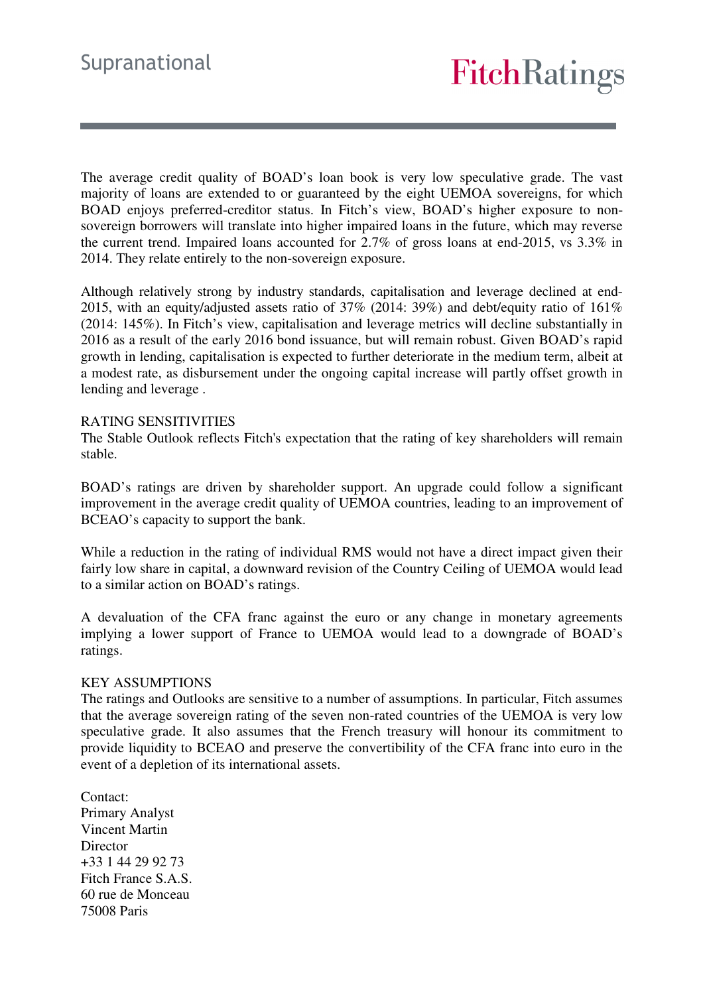The average credit quality of BOAD's loan book is very low speculative grade. The vast majority of loans are extended to or guaranteed by the eight UEMOA sovereigns, for which BOAD enjoys preferred-creditor status. In Fitch's view, BOAD's higher exposure to nonsovereign borrowers will translate into higher impaired loans in the future, which may reverse the current trend. Impaired loans accounted for 2.7% of gross loans at end-2015, vs 3.3% in 2014. They relate entirely to the non-sovereign exposure.

Although relatively strong by industry standards, capitalisation and leverage declined at end-2015, with an equity/adjusted assets ratio of  $37\%$  (2014: 39%) and debt/equity ratio of  $161\%$ (2014: 145%). In Fitch's view, capitalisation and leverage metrics will decline substantially in 2016 as a result of the early 2016 bond issuance, but will remain robust. Given BOAD's rapid growth in lending, capitalisation is expected to further deteriorate in the medium term, albeit at a modest rate, as disbursement under the ongoing capital increase will partly offset growth in lending and leverage .

#### RATING SENSITIVITIES

The Stable Outlook reflects Fitch's expectation that the rating of key shareholders will remain stable.

BOAD's ratings are driven by shareholder support. An upgrade could follow a significant improvement in the average credit quality of UEMOA countries, leading to an improvement of BCEAO's capacity to support the bank.

While a reduction in the rating of individual RMS would not have a direct impact given their fairly low share in capital, a downward revision of the Country Ceiling of UEMOA would lead to a similar action on BOAD's ratings.

A devaluation of the CFA franc against the euro or any change in monetary agreements implying a lower support of France to UEMOA would lead to a downgrade of BOAD's ratings.

#### KEY ASSUMPTIONS

The ratings and Outlooks are sensitive to a number of assumptions. In particular, Fitch assumes that the average sovereign rating of the seven non-rated countries of the UEMOA is very low speculative grade. It also assumes that the French treasury will honour its commitment to provide liquidity to BCEAO and preserve the convertibility of the CFA franc into euro in the event of a depletion of its international assets.

Contact: Primary Analyst Vincent Martin Director +33 1 44 29 92 73 Fitch France S.A.S. 60 rue de Monceau 75008 Paris